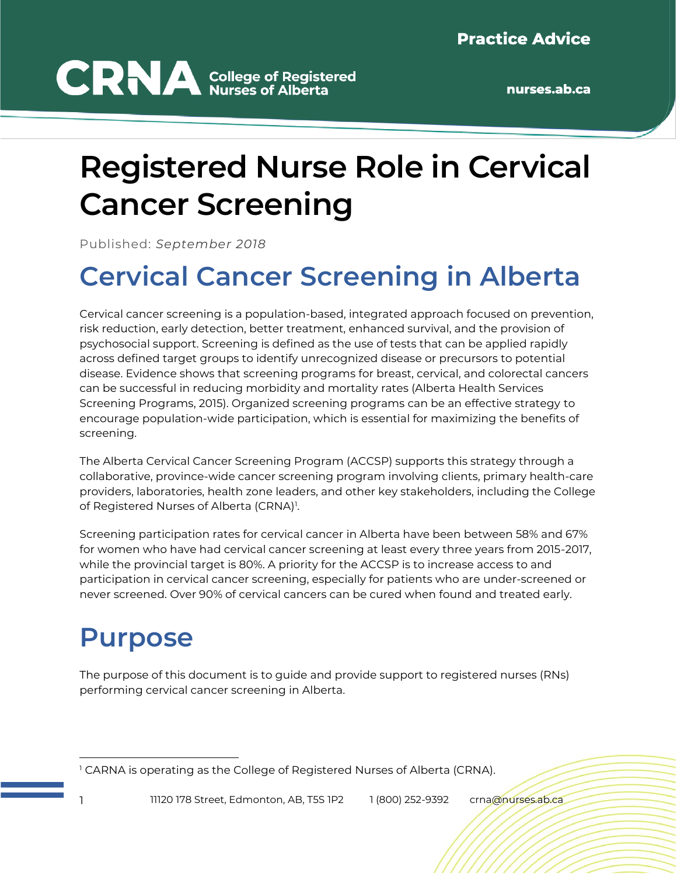# **CRNA** College of Registered

## **Registered Nurse Role in Cervical Cancer Screening**

Published: *September 2018*

#### **Cervical Cancer Screening in Alberta**

Cervical cancer screening is a population-based, integrated approach focused on prevention, risk reduction, early detection, better treatment, enhanced survival, and the provision of psychosocial support. Screening is defined as the use of tests that can be applied rapidly across defined target groups to identify unrecognized disease or precursors to potential disease. Evidence shows that screening programs for breast, cervical, and colorectal cancers can be successful in reducing morbidity and mortality rates (Alberta Health Services Screening Programs, 2015). Organized screening programs can be an effective strategy to encourage population-wide participation, which is essential for maximizing the benefits of screening.

The Alberta Cervical Cancer Screening Program (ACCSP) supports this strategy through a collaborative, province-wide cancer screening program involving clients, primary health-care providers, laboratories, health zone leaders, and other key stakeholders, including the College of Registered Nurses of Alberta (CRNA)<sup>1</sup>.

Screening participation rates for cervical cancer in Alberta have been between 58% and 67% for women who have had cervical cancer screening at least every three years from 2015-2017, while the provincial target is 80%. A priority for the ACCSP is to increase access to and participation in cervical cancer screening, especially for patients who are under-screened or never screened. Over 90% of cervical cancers can be cured when found and treated early.

#### **Purpose**

The purpose of this document is to guide and provide support to registered nurses (RNs) performing cervical cancer screening in Alberta.

<sup>&</sup>lt;sup>1</sup> CARNA is operating as the College of Registered Nurses of Alberta (CRNA).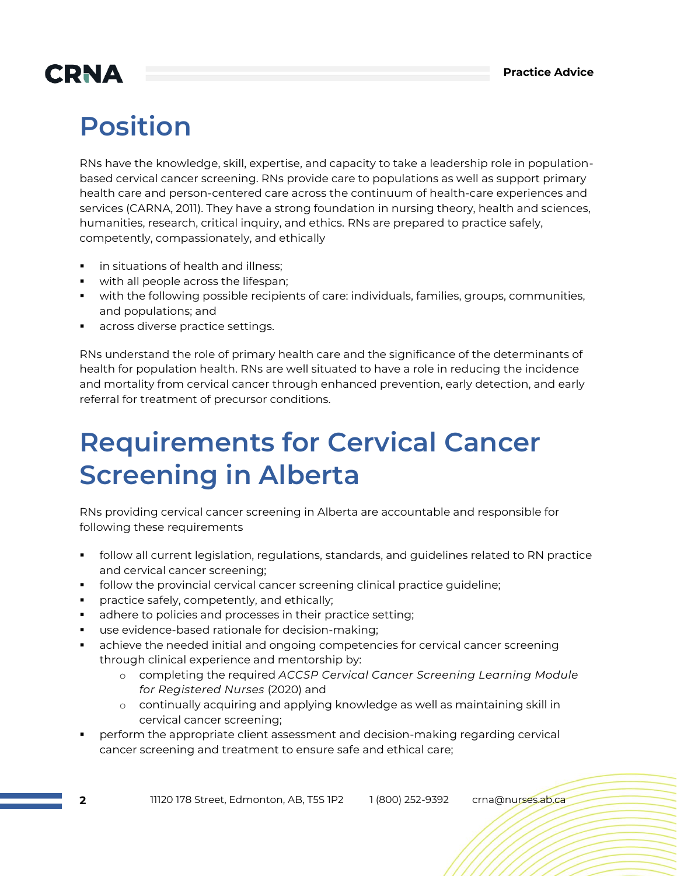## **CRNA**

## **Position**

RNs have the knowledge, skill, expertise, and capacity to take a leadership role in populationbased cervical cancer screening. RNs provide care to populations as well as support primary health care and person-centered care across the continuum of health-care experiences and services (CARNA, 2011). They have a strong foundation in nursing theory, health and sciences, humanities, research, critical inquiry, and ethics. RNs are prepared to practice safely, competently, compassionately, and ethically

- in situations of health and illness:
- with all people across the lifespan;
- with the following possible recipients of care: individuals, families, groups, communities, and populations; and
- across diverse practice settings.

RNs understand the role of primary health care and the significance of the determinants of health for population health. RNs are well situated to have a role in reducing the incidence and mortality from cervical cancer through enhanced prevention, early detection, and early referral for treatment of precursor conditions.

#### **Requirements for Cervical Cancer Screening in Alberta**

RNs providing cervical cancer screening in Alberta are accountable and responsible for following these requirements

- follow all current legislation, regulations, standards, and guidelines related to RN practice and cervical cancer screening;
- follow the provincial cervical cancer screening clinical practice guideline;
- practice safely, competently, and ethically;
- **•** adhere to policies and processes in their practice setting;
- use evidence-based rationale for decision-making;
- achieve the needed initial and ongoing competencies for cervical cancer screening through clinical experience and mentorship by:
	- o completing the required *ACCSP Cervical Cancer Screening Learning Module for Registered Nurses* (2020) and
	- o continually acquiring and applying knowledge as well as maintaining skill in cervical cancer screening;
- perform the appropriate client assessment and decision-making regarding cervical cancer screening and treatment to ensure safe and ethical care;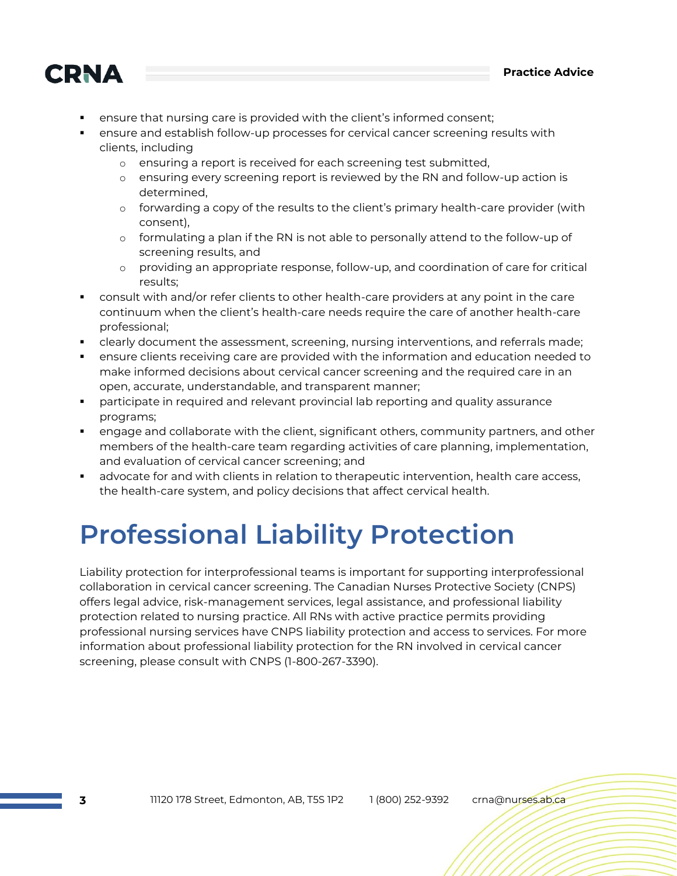

- ensure that nursing care is provided with the client's informed consent;
- ensure and establish follow-up processes for cervical cancer screening results with clients, including
	- o ensuring a report is received for each screening test submitted,
	- o ensuring every screening report is reviewed by the RN and follow-up action is determined,
	- o forwarding a copy of the results to the client's primary health-care provider (with consent),
	- o formulating a plan if the RN is not able to personally attend to the follow-up of screening results, and
	- o providing an appropriate response, follow-up, and coordination of care for critical results;
- consult with and/or refer clients to other health-care providers at any point in the care continuum when the client's health-care needs require the care of another health-care professional;
- clearly document the assessment, screening, nursing interventions, and referrals made;
- ensure clients receiving care are provided with the information and education needed to make informed decisions about cervical cancer screening and the required care in an open, accurate, understandable, and transparent manner;
- **•** participate in required and relevant provincial lab reporting and quality assurance programs;
- engage and collaborate with the client, significant others, community partners, and other members of the health-care team regarding activities of care planning, implementation, and evaluation of cervical cancer screening; and
- advocate for and with clients in relation to therapeutic intervention, health care access, the health-care system, and policy decisions that affect cervical health.

#### **Professional Liability Protection**

Liability protection for interprofessional teams is important for supporting interprofessional collaboration in cervical cancer screening. The Canadian Nurses Protective Society (CNPS) offers legal advice, risk-management services, legal assistance, and professional liability protection related to nursing practice. All RNs with active practice permits providing professional nursing services have CNPS liability protection and access to services. For more information about professional liability protection for the RN involved in cervical cancer screening, please consult with CNPS (1-800-267-3390).